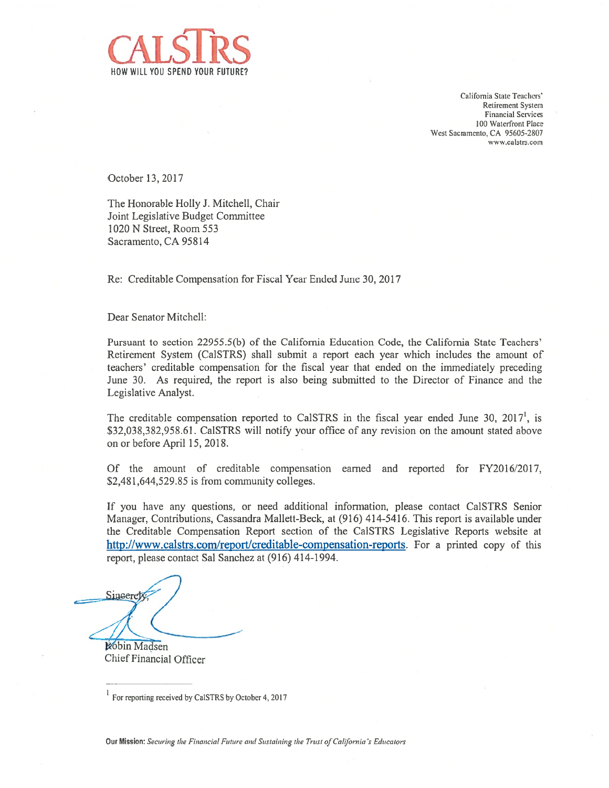

California State Teachers' Retirement System Financial Services 100 Waterfront Place West Sacramento, CA 95605-2807 www.calstrs.com

October 13, 2017

The Honorable Holly J. Mitchell, Chair Joint Legislative Budget Conmiittee 1020 N Street, Room 553 Sacramento, CA 95814

Re: Creditable Compensation for Fiscal Year Ended June 30, 2017

Dear Senator Mitchell:

Pursuant to section 22955.5(b) of the California Education Code, the California State Teachers' Retirement System (Ca1STRS) shall submit <sup>a</sup> repor<sup>t</sup> each year which includes the amount of teachers' creditable compensation for the fiscal year that ended on the immediately preceding June 30. As required, the repor<sup>t</sup> is also being submitted to the Director of Finance and the Legislative Analyst.

The creditable compensation reported to CalSTRS in the fiscal year ended June 30, 2017<sup>1</sup>, is \$32,038,382,958.61. CalSTRS will notify your office of any revision on the amount stated above on or before April 15, 2018.

Of the amount of creditable compensation earned and reported for FY2016/2017, \$2,481,644,529.85 is from community colleges.

If you have any questions, or need additional information, please contact Ca1STRS Senior Manager, Contributions, Cassandra Mallett-Beck, at (916) 414-5416. This repor<sup>t</sup> is available under the Creditable Compensation Report section of the Ca1STRS Legislative Reports website at http ://www.calstrs.com/report/creditable-compensation-reports. For <sup>a</sup> printed copy of this report, please contact Sal Sanchez at (916) 414-1994.

Sinceret

**Robin Madsen** Chief Financial Officer

**Our Mission:** Securing the Financial Future and Sustaining the Trust of California's Educators

For reporting received by Cal STRS by October 4, 2017